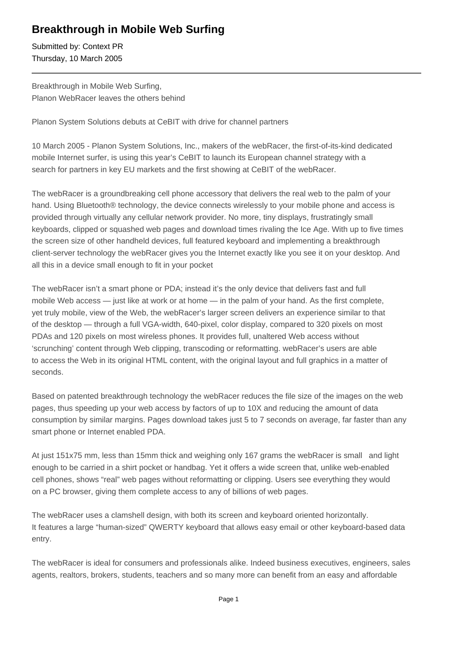## **Breakthrough in Mobile Web Surfing**

Submitted by: Context PR Thursday, 10 March 2005

Breakthrough in Mobile Web Surfing, Planon WebRacer leaves the others behind

Planon System Solutions debuts at CeBIT with drive for channel partners

10 March 2005 - Planon System Solutions, Inc., makers of the webRacer, the first-of-its-kind dedicated mobile Internet surfer, is using this year's CeBIT to launch its European channel strategy with a search for partners in key EU markets and the first showing at CeBIT of the webRacer.

The webRacer is a groundbreaking cell phone accessory that delivers the real web to the palm of your hand. Using Bluetooth® technology, the device connects wirelessly to your mobile phone and access is provided through virtually any cellular network provider. No more, tiny displays, frustratingly small keyboards, clipped or squashed web pages and download times rivaling the Ice Age. With up to five times the screen size of other handheld devices, full featured keyboard and implementing a breakthrough client-server technology the webRacer gives you the Internet exactly like you see it on your desktop. And all this in a device small enough to fit in your pocket

The webRacer isn't a smart phone or PDA; instead it's the only device that delivers fast and full mobile Web access — just like at work or at home — in the palm of your hand. As the first complete, yet truly mobile, view of the Web, the webRacer's larger screen delivers an experience similar to that of the desktop — through a full VGA-width, 640-pixel, color display, compared to 320 pixels on most PDAs and 120 pixels on most wireless phones. It provides full, unaltered Web access without 'scrunching' content through Web clipping, transcoding or reformatting. webRacer's users are able to access the Web in its original HTML content, with the original layout and full graphics in a matter of seconds.

Based on patented breakthrough technology the webRacer reduces the file size of the images on the web pages, thus speeding up your web access by factors of up to 10X and reducing the amount of data consumption by similar margins. Pages download takes just 5 to 7 seconds on average, far faster than any smart phone or Internet enabled PDA.

At just 151x75 mm, less than 15mm thick and weighing only 167 grams the webRacer is small and light enough to be carried in a shirt pocket or handbag. Yet it offers a wide screen that, unlike web-enabled cell phones, shows "real" web pages without reformatting or clipping. Users see everything they would on a PC browser, giving them complete access to any of billions of web pages.

The webRacer uses a clamshell design, with both its screen and keyboard oriented horizontally. It features a large "human-sized" QWERTY keyboard that allows easy email or other keyboard-based data entry.

The webRacer is ideal for consumers and professionals alike. Indeed business executives, engineers, sales agents, realtors, brokers, students, teachers and so many more can benefit from an easy and affordable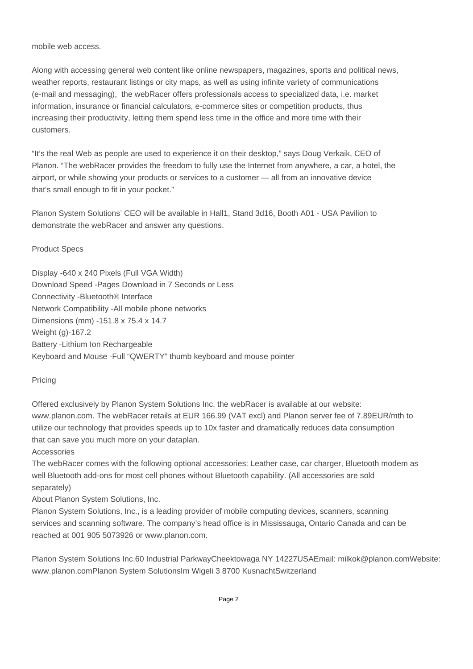mobile web access.

Along with accessing general web content like online newspapers, magazines, sports and political news, weather reports, restaurant listings or city maps, as well as using infinite variety of communications (e-mail and messaging), the webRacer offers professionals access to specialized data, i.e. market information, insurance or financial calculators, e-commerce sites or competition products, thus increasing their productivity, letting them spend less time in the office and more time with their customers.

"It's the real Web as people are used to experience it on their desktop," says Doug Verkaik, CEO of Planon. "The webRacer provides the freedom to fully use the Internet from anywhere, a car, a hotel, the airport, or while showing your products or services to a customer — all from an innovative device that's small enough to fit in your pocket."

Planon System Solutions' CEO will be available in Hall1, Stand 3d16, Booth A01 - USA Pavilion to demonstrate the webRacer and answer any questions.

## Product Specs

Display - 640 x 240 Pixels (Full VGA Width) Download Speed - Pages Download in 7 Seconds or Less Connectivity - Bluetooth<sup>®</sup> Interface Network Compatibility - All mobile phone networks Dimensions (mm) - 151.8 x 75.4 x 14.7 Weight (g) - 167.2 Battery - Lithium Ion Rechargeable Keyboard and Mouse - Full "QWERTY" thumb keyboard and mouse pointer

## Pricing

Offered exclusively by Planon System Solutions Inc. the webRacer is available at our website: www.planon.com. The webRacer retails at EUR 166.99 (VAT excl) and Planon server fee of 7.89EUR/mth to utilize our technology that provides speeds up to 10x faster and dramatically reduces data consumption that can save you much more on your dataplan.

Accessories

The webRacer comes with the following optional accessories: Leather case, car charger, Bluetooth modem as well Bluetooth add-ons for most cell phones without Bluetooth capability. (All accessories are sold separately)

About Planon System Solutions, Inc.

Planon System Solutions, Inc., is a leading provider of mobile computing devices, scanners, scanning services and scanning software. The company's head office is in Mississauga, Ontario Canada and can be reached at 001 905 5073926 or www.planon.com.

Planon System Solutions Inc. 60 Industrial ParkwayCheektowaga NY 14227USAEmail: milkok@planon.comWebsite: www.planon.com Planon System SolutionsIm Wigeli 3 8700 KusnachtSwitzerland